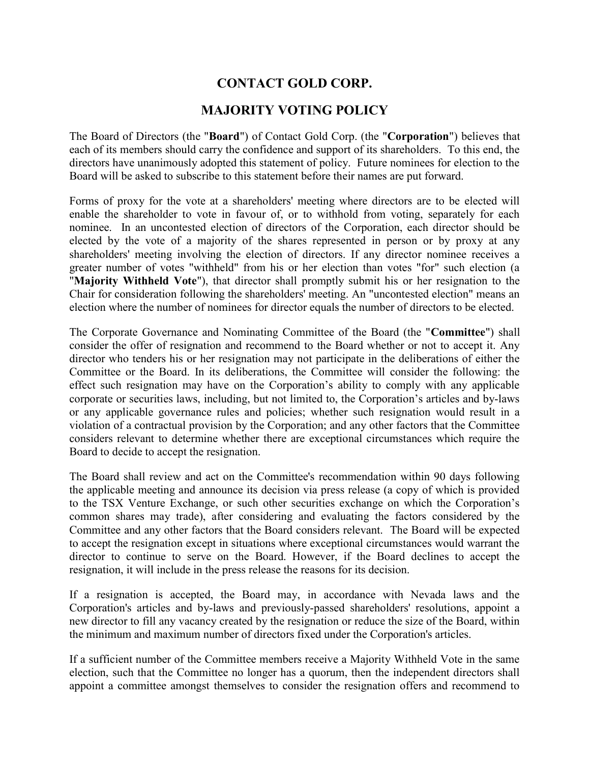## CONTACT GOLD CORP.

## MAJORITY VOTING POLICY

The Board of Directors (the "Board") of Contact Gold Corp. (the "Corporation") believes that each of its members should carry the confidence and support of its shareholders. To this end, the directors have unanimously adopted this statement of policy. Future nominees for election to the Board will be asked to subscribe to this statement before their names are put forward.

Forms of proxy for the vote at a shareholders' meeting where directors are to be elected will enable the shareholder to vote in favour of, or to withhold from voting, separately for each nominee. In an uncontested election of directors of the Corporation, each director should be elected by the vote of a majority of the shares represented in person or by proxy at any shareholders' meeting involving the election of directors. If any director nominee receives a greater number of votes "withheld" from his or her election than votes "for" such election (a "Majority Withheld Vote"), that director shall promptly submit his or her resignation to the Chair for consideration following the shareholders' meeting. An "uncontested election" means an election where the number of nominees for director equals the number of directors to be elected.

The Corporate Governance and Nominating Committee of the Board (the "Committee") shall consider the offer of resignation and recommend to the Board whether or not to accept it. Any director who tenders his or her resignation may not participate in the deliberations of either the Committee or the Board. In its deliberations, the Committee will consider the following: the effect such resignation may have on the Corporation's ability to comply with any applicable corporate or securities laws, including, but not limited to, the Corporation's articles and by-laws or any applicable governance rules and policies; whether such resignation would result in a violation of a contractual provision by the Corporation; and any other factors that the Committee considers relevant to determine whether there are exceptional circumstances which require the Board to decide to accept the resignation.

The Board shall review and act on the Committee's recommendation within 90 days following the applicable meeting and announce its decision via press release (a copy of which is provided to the TSX Venture Exchange, or such other securities exchange on which the Corporation's common shares may trade), after considering and evaluating the factors considered by the Committee and any other factors that the Board considers relevant. The Board will be expected to accept the resignation except in situations where exceptional circumstances would warrant the director to continue to serve on the Board. However, if the Board declines to accept the resignation, it will include in the press release the reasons for its decision.

If a resignation is accepted, the Board may, in accordance with Nevada laws and the Corporation's articles and by-laws and previously-passed shareholders' resolutions, appoint a new director to fill any vacancy created by the resignation or reduce the size of the Board, within the minimum and maximum number of directors fixed under the Corporation's articles.

If a sufficient number of the Committee members receive a Majority Withheld Vote in the same election, such that the Committee no longer has a quorum, then the independent directors shall appoint a committee amongst themselves to consider the resignation offers and recommend to